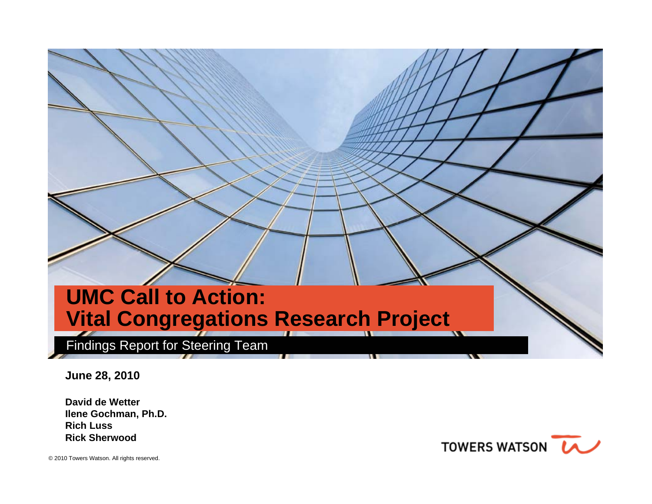# **UMC Call to Action: Vital Congregations Research Project**

Findings Report for Steering Team

**June 28, 2010**

**David de WetterIlene Gochman, Ph.D. Rich LussRick Sherwood**

TOWERS WATSON **LA**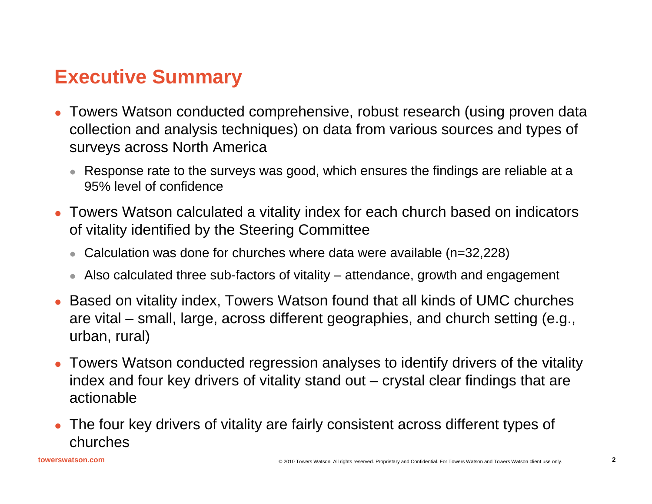# **Executive Summary**

- o Towers Watson conducted comprehensive, robust research (using proven data collection and analysis techniques) on data from various sources and types of surveys across North America
	- $\bullet~$  Response rate to the surveys was good, which ensures the findings are reliable at a 95% level of confidence
- Towers Watson calculated a vitality index for each church based on indicators of vitality identified by the Steering Committee
	- Calculation was done for churches where data were available (n=32,228)
	- $\bullet~$  Also calculated three sub-factors of vitality attendance, growth and engagement
- o Based on vitality index, Towers Watson found that all kinds of UMC churches are vital – small, large, across different geographies, and church setting (e.g., urban, rural)
- Towers Watson conducted regression analyses to identify drivers of the vitality index and four key drivers of vitality stand out – crystal clear findings that are actionable
- The four key drivers of vitality are fairly consistent across different types of churches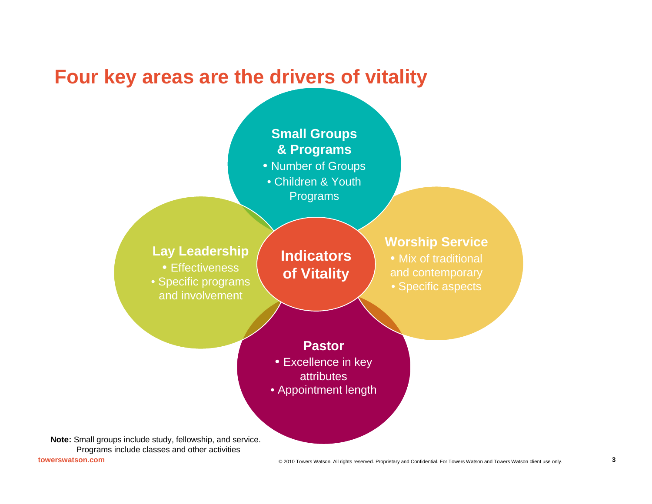## **Four key areas are the drivers of vitality**

#### **Small Groups & Programs**

- Number of Groups
- Children & YouthPrograms

#### **Lay Leadership**

• Effectiveness • Specific programs and involvement

#### **Indicators of Vitality**

#### **Worship Service**

• Mix of traditional and contemporary • Specific aspects

#### **Pastor**

- Excellence in key **attributes**
- Appointment length

**Note:** Small groups include study, fellowship, and service. Programs include classes and other activities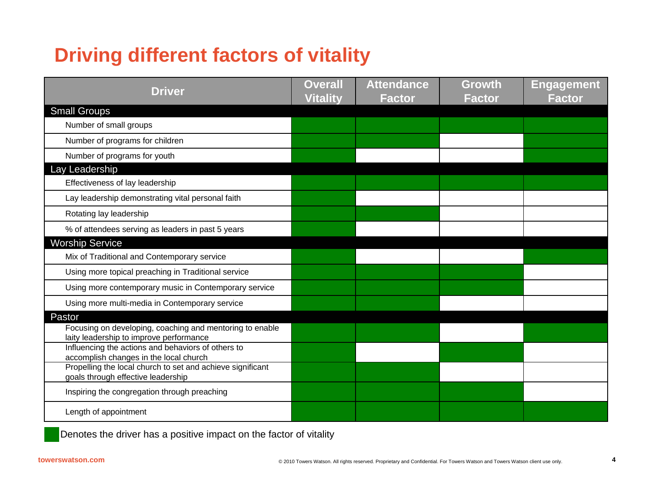# **Driving different factors of vitality**

| <b>Driver</b>                                                                                       | <b>Overall</b><br><b>Vitality</b> | <b>Attendance</b><br>Factor | Growth<br><b>Factor</b> | <b>Engagement</b><br><b>Factor</b> |
|-----------------------------------------------------------------------------------------------------|-----------------------------------|-----------------------------|-------------------------|------------------------------------|
| <b>Small Groups</b>                                                                                 |                                   |                             |                         |                                    |
| Number of small groups                                                                              |                                   |                             |                         |                                    |
| Number of programs for children                                                                     |                                   |                             |                         |                                    |
| Number of programs for youth                                                                        |                                   |                             |                         |                                    |
| Lay Leadership                                                                                      |                                   |                             |                         |                                    |
| Effectiveness of lay leadership                                                                     |                                   |                             |                         |                                    |
| Lay leadership demonstrating vital personal faith                                                   |                                   |                             |                         |                                    |
| Rotating lay leadership                                                                             |                                   |                             |                         |                                    |
| % of attendees serving as leaders in past 5 years                                                   |                                   |                             |                         |                                    |
| <b>Worship Service</b>                                                                              |                                   |                             |                         |                                    |
| Mix of Traditional and Contemporary service                                                         |                                   |                             |                         |                                    |
| Using more topical preaching in Traditional service                                                 |                                   |                             |                         |                                    |
| Using more contemporary music in Contemporary service                                               |                                   |                             |                         |                                    |
| Using more multi-media in Contemporary service                                                      |                                   |                             |                         |                                    |
| Pastor                                                                                              |                                   |                             |                         |                                    |
| Focusing on developing, coaching and mentoring to enable<br>laity leadership to improve performance |                                   |                             |                         |                                    |
| Influencing the actions and behaviors of others to<br>accomplish changes in the local church        |                                   |                             |                         |                                    |
| Propelling the local church to set and achieve significant<br>goals through effective leadership    |                                   |                             |                         |                                    |
| Inspiring the congregation through preaching                                                        |                                   |                             |                         |                                    |
| Length of appointment                                                                               |                                   |                             |                         |                                    |

Denotes the driver has a positive impact on the factor of vitality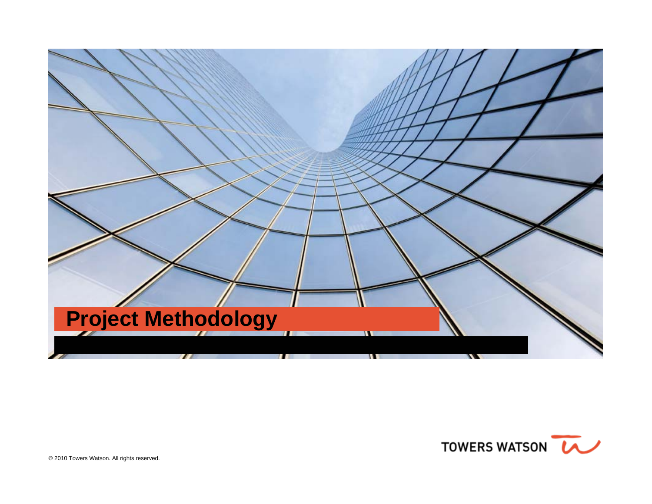

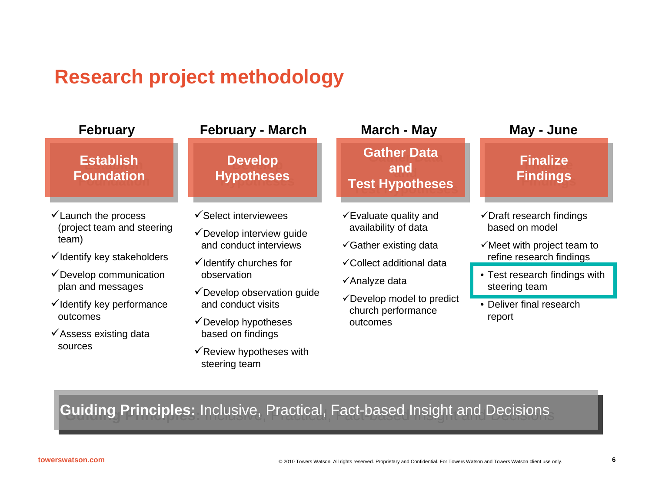# **Research project methodology**

| <b>February</b>                                                                                                                                                                    | <b>February - March</b>                                                                                                                                                                | <b>March - May</b>                                                                                                                                                                              | May - June                                                                                                                                                                                                 |  |
|------------------------------------------------------------------------------------------------------------------------------------------------------------------------------------|----------------------------------------------------------------------------------------------------------------------------------------------------------------------------------------|-------------------------------------------------------------------------------------------------------------------------------------------------------------------------------------------------|------------------------------------------------------------------------------------------------------------------------------------------------------------------------------------------------------------|--|
| <b>Establish</b><br><b>Foundation</b>                                                                                                                                              | <b>Develop</b><br><b>Hypotheses</b>                                                                                                                                                    | <b>Gather Data</b><br>and<br><b>Test Hypotheses</b>                                                                                                                                             | <b>Finalize</b><br><b>Findings</b>                                                                                                                                                                         |  |
| $\checkmark$ Launch the process<br>(project team and steering<br>team)<br>V Identify key stakeholders<br>✔ Develop communication<br>plan and messages<br>√Identify key performance | ✔ Select interviewees<br>✔ Develop interview guide<br>and conduct interviews<br>$\checkmark$ Identify churches for<br>observation<br>✔ Develop observation guide<br>and conduct visits | $\checkmark$ Evaluate quality and<br>availability of data<br>$\checkmark$ Gather existing data<br>√Collect additional data<br>√Analyze data<br>✔ Develop model to predict<br>church performance | $\checkmark$ Draft research findings<br>based on model<br>$\checkmark$ Meet with project team to<br>refine research findings<br>• Test research findings with<br>steering team<br>• Deliver final research |  |
| outcomes<br>✔ Assess existing data<br>sources                                                                                                                                      | ✔ Develop hypotheses<br>based on findings<br>$\checkmark$ Review hypotheses with<br>steering team<br><b>Guiding Principles:</b> Inclusive, Practical, Fact-based Insight and Decisions | outcomes                                                                                                                                                                                        | report                                                                                                                                                                                                     |  |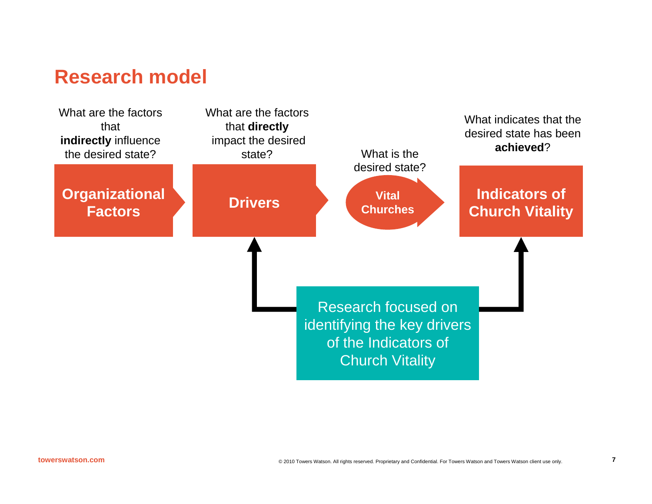## **Research model**

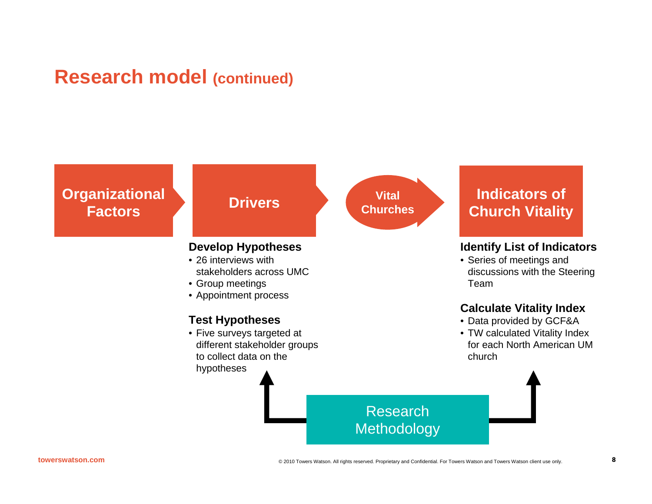## **Research model (continued)**

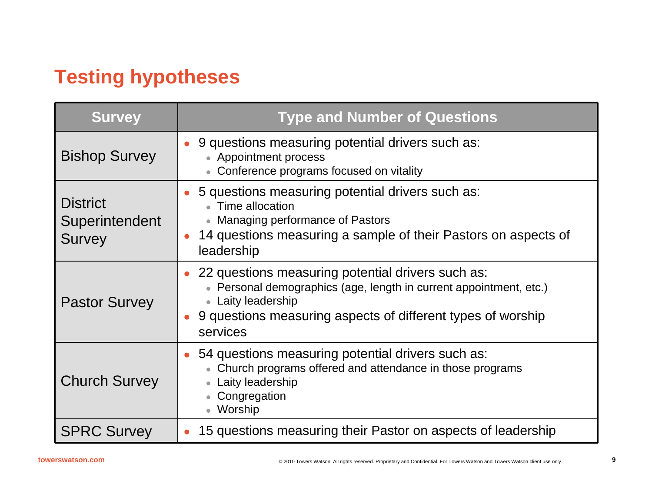# **Testing hypotheses**

| <b>Survey</b>                                      | <b>Type and Number of Questions</b>                                                                                                                                                                                        |
|----------------------------------------------------|----------------------------------------------------------------------------------------------------------------------------------------------------------------------------------------------------------------------------|
| <b>Bishop Survey</b>                               | • 9 questions measuring potential drivers such as:<br>• Appointment process<br>• Conference programs focused on vitality                                                                                                   |
| <b>District</b><br>Superintendent<br><b>Survey</b> | 5 questions measuring potential drivers such as:<br>• Time allocation<br>• Managing performance of Pastors<br>14 questions measuring a sample of their Pastors on aspects of<br>leadership                                 |
| <b>Pastor Survey</b>                               | • 22 questions measuring potential drivers such as:<br>• Personal demographics (age, length in current appointment, etc.)<br>• Laity leadership<br>9 questions measuring aspects of different types of worship<br>services |
| <b>Church Survey</b>                               | 54 questions measuring potential drivers such as:<br>• Church programs offered and attendance in those programs<br>• Laity leadership<br>• Congregation<br>• Worship                                                       |
| <b>SPRC Survey</b>                                 | 15 questions measuring their Pastor on aspects of leadership                                                                                                                                                               |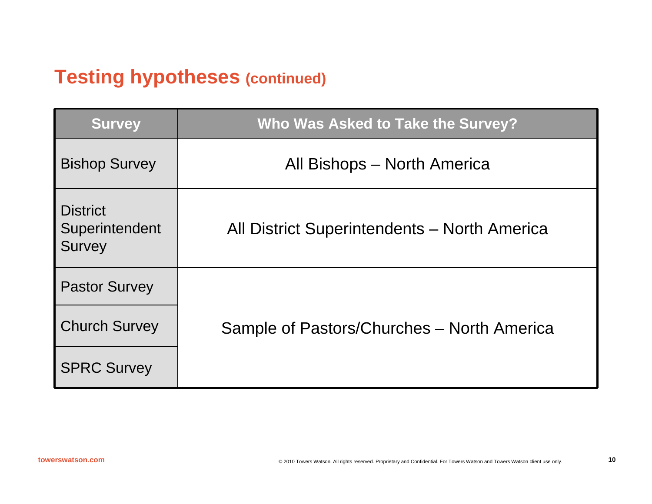## **Testing hypotheses (continued)**

| <b>Survey</b>                                      | Who Was Asked to Take the Survey?            |
|----------------------------------------------------|----------------------------------------------|
| <b>Bishop Survey</b>                               | All Bishops – North America                  |
| <b>District</b><br>Superintendent<br><b>Survey</b> | All District Superintendents – North America |
| <b>Pastor Survey</b>                               |                                              |
| <b>Church Survey</b>                               | Sample of Pastors/Churches – North America   |
| <b>SPRC Survey</b>                                 |                                              |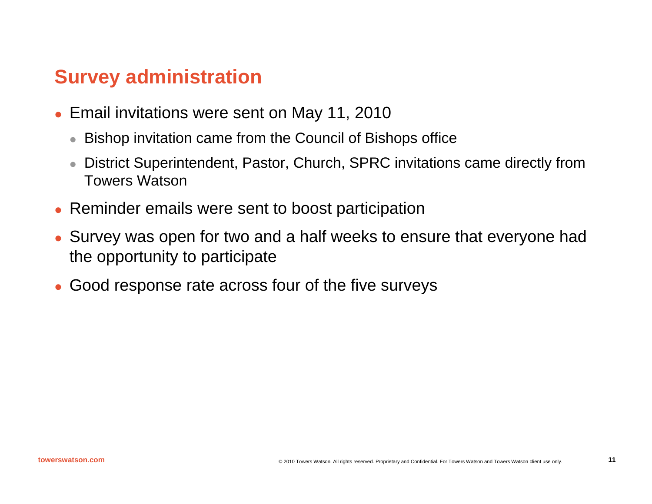## **Survey administration**

- O Email invitations were sent on May 11, 2010
	- Bishop invitation came from the Council of Bishops office
	- $\bullet$  District Superintendent, Pastor, Church, SPRC invitations came directly from Towers Watson
- Reminder emails were sent to boost participation
- Survey was open for two and a half weeks to ensure that everyone had the opportunity to participate
- O Good response rate across four of the five surveys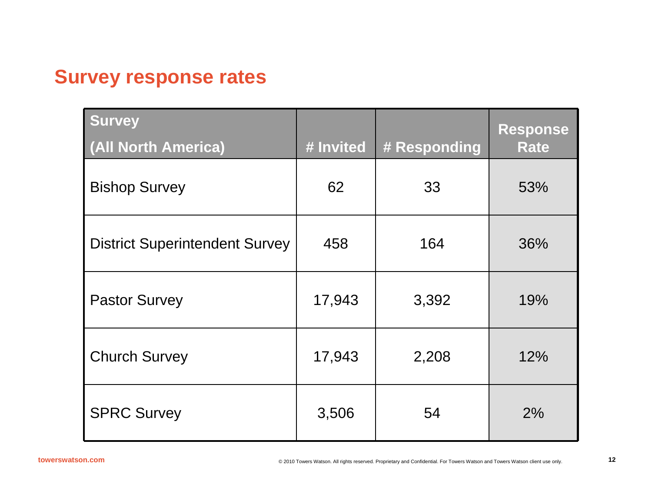## **Survey response rates**

| <b>Survey</b><br>(All North America)  | # Invited | # Responding | Response<br><b>Rate</b> |
|---------------------------------------|-----------|--------------|-------------------------|
| <b>Bishop Survey</b>                  | 62        | 33           | 53%                     |
| <b>District Superintendent Survey</b> | 458       | 164          | 36%                     |
| <b>Pastor Survey</b>                  | 17,943    | 3,392        | 19%                     |
| <b>Church Survey</b>                  | 17,943    | 2,208        | 12%                     |
| <b>SPRC Survey</b>                    | 3,506     | 54           | 2%                      |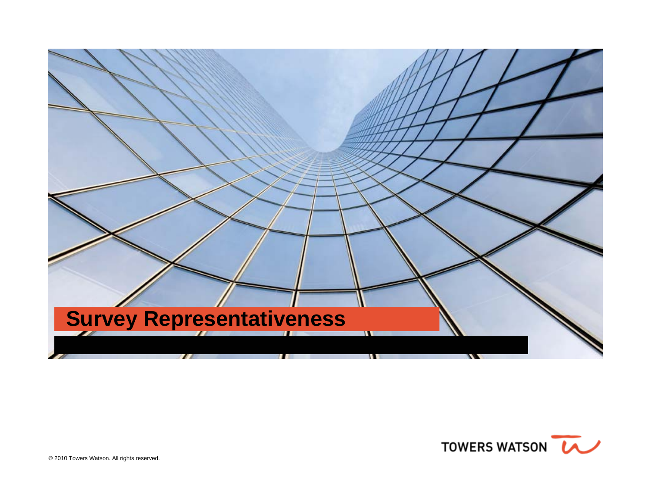

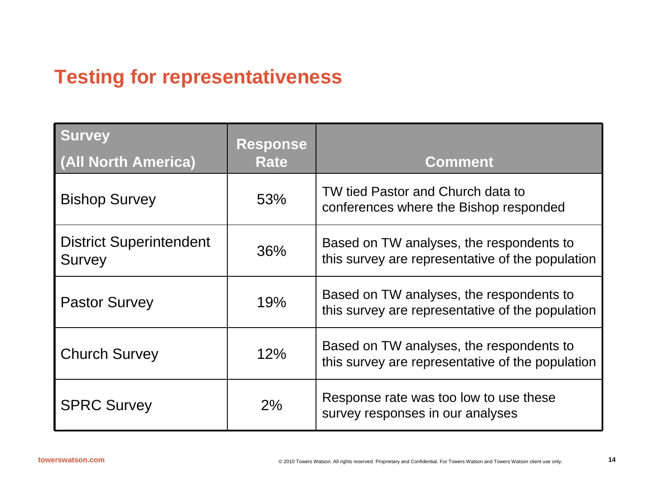# **Testing for representativeness**

| <b>Survey</b>                                   | <b>Response</b> |                                                                                              |
|-------------------------------------------------|-----------------|----------------------------------------------------------------------------------------------|
| (All North America)                             | <b>Rate</b>     | <b>Comment</b>                                                                               |
| <b>Bishop Survey</b>                            | 53%             | TW tied Pastor and Church data to<br>conferences where the Bishop responded                  |
| <b>District Superintendent</b><br><b>Survey</b> | 36%             | Based on TW analyses, the respondents to<br>this survey are representative of the population |
| <b>Pastor Survey</b>                            | 19%             | Based on TW analyses, the respondents to<br>this survey are representative of the population |
| <b>Church Survey</b>                            | 12%             | Based on TW analyses, the respondents to<br>this survey are representative of the population |
| <b>SPRC Survey</b>                              | 2%              | Response rate was too low to use these<br>survey responses in our analyses                   |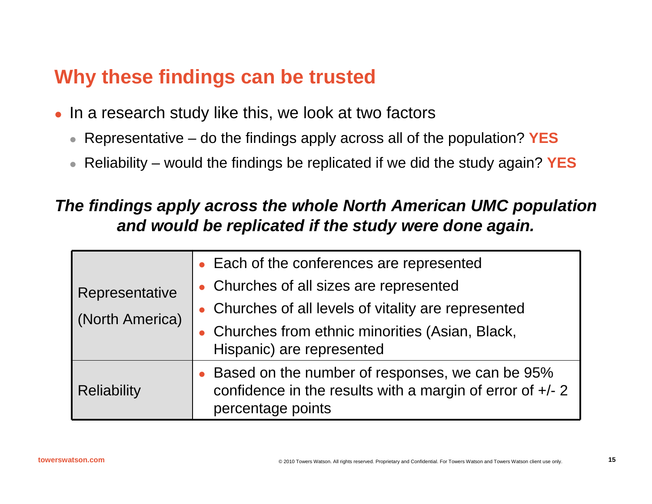## **Why these findings can be trusted**

- O In a research study like this, we look at two factors
	- $\bullet$ Representative – do the findings apply across all of the population? **YES**
	- $\bullet$ Reliability – would the findings be replicated if we did the study again? **YES**

#### *The findings apply across the whole North American UMC population and would be replicated if the study were done again.*

| Representative<br>(North America) | Each of the conferences are represented<br>• Churches of all sizes are represented<br>• Churches of all levels of vitality are represented<br>• Churches from ethnic minorities (Asian, Black,<br>Hispanic) are represented |
|-----------------------------------|-----------------------------------------------------------------------------------------------------------------------------------------------------------------------------------------------------------------------------|
| <b>Reliability</b>                | Based on the number of responses, we can be 95%<br>confidence in the results with a margin of error of $+/- 2$<br>percentage points                                                                                         |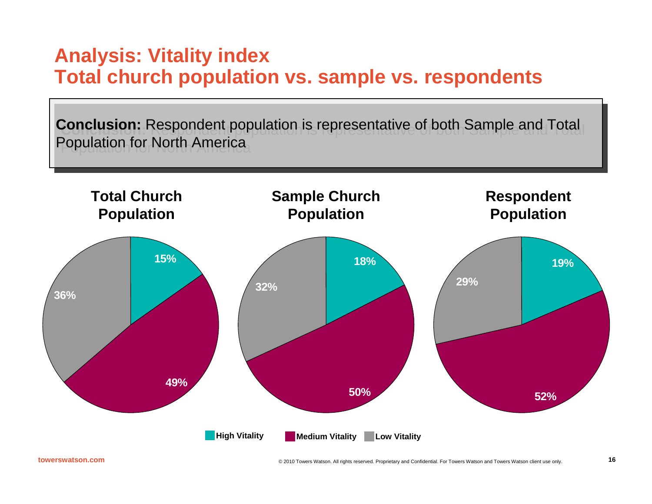## **Analysis: Vitality index Total church population vs. sample vs. respondents**

**Conclusion:** Respondent population is representative of both Sample and Total **Conclusion:** Respondent population is representative of both Sample and Total Population for North America Population for North America

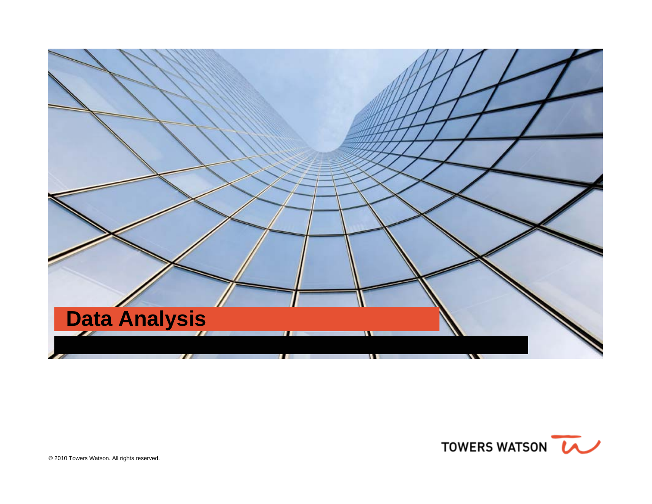

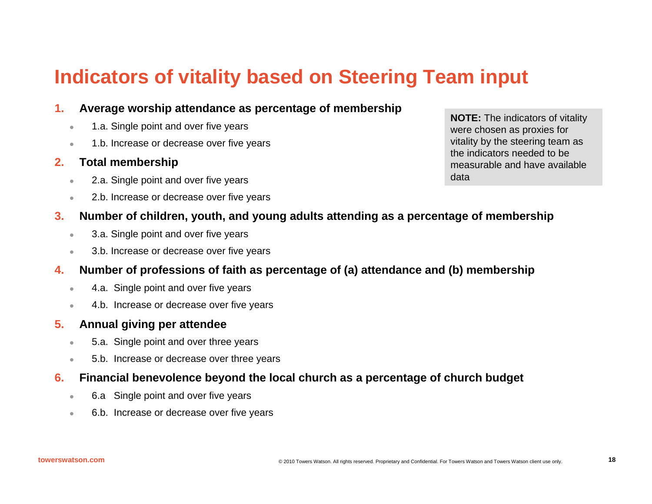# **Indicators of vitality based on Steering Team input**

#### **1.Average worship attendance as percentage of membership**

- z1.a. Single point and over five years
- z1.b. Increase or decrease over five years

#### **2.Total membership**

- z2.a. Single point and over five years
- $\bullet$ 2.b. Increase or decrease over five years

**NOTE:** The indicators of vitality were chosen as proxies for vitality by the steering team as the indicators needed to be measurable and have available data

#### **3.Number of children, youth, and young adults attending as a percentage of membership**

- $\bullet$ 3.a. Single point and over five years
- $\bullet$ 3.b. Increase or decrease over five years

#### **4.Number of professions of faith as percentage of (a) attendance and (b) membership**

- z4.a. Single point and over five years
- $\bullet$ 4.b. Increase or decrease over five years

#### **5.Annual giving per attendee**

- $\bullet$ 5.a. Single point and over three years
- $\bullet$ 5.b. Increase or decrease over three years

#### **6.Financial benevolence beyond the local church as a percentage of church budget**

- <sup>o</sup> 6.a Single point and over five years
- $\bullet$ 6.b. Increase or decrease over five years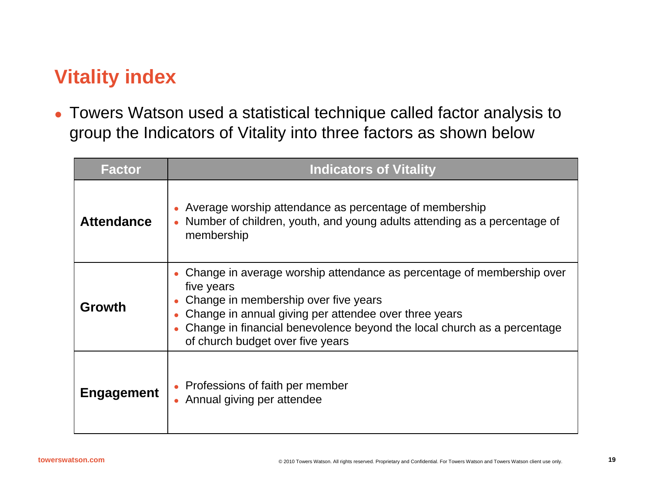# **Vitality index**

• Towers Watson used a statistical technique called factor analysis to group the Indicators of Vitality into three factors as shown below

| <b>Factor</b>     | <b>Indicators of Vitality</b>                                                                                                                                                                                                                                                                       |
|-------------------|-----------------------------------------------------------------------------------------------------------------------------------------------------------------------------------------------------------------------------------------------------------------------------------------------------|
| <b>Attendance</b> | Average worship attendance as percentage of membership<br>Number of children, youth, and young adults attending as a percentage of<br>membership                                                                                                                                                    |
| Growth            | Change in average worship attendance as percentage of membership over<br>five years<br>Change in membership over five years<br>Change in annual giving per attendee over three years<br>Change in financial benevolence beyond the local church as a percentage<br>of church budget over five years |
| <b>Engagement</b> | • Professions of faith per member<br>• Annual giving per attendee                                                                                                                                                                                                                                   |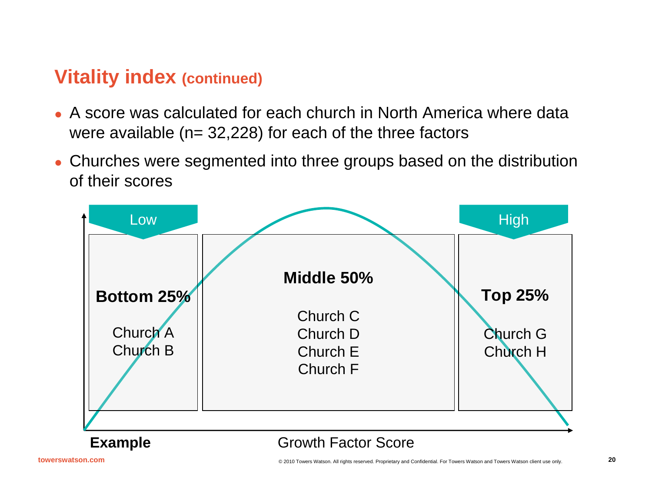## **Vitality index (continued)**

- A score was calculated for each church in North America where data were available ( $n= 32,228$ ) for each of the three factors
- Churches were segmented into three groups based on the distribution of their scores

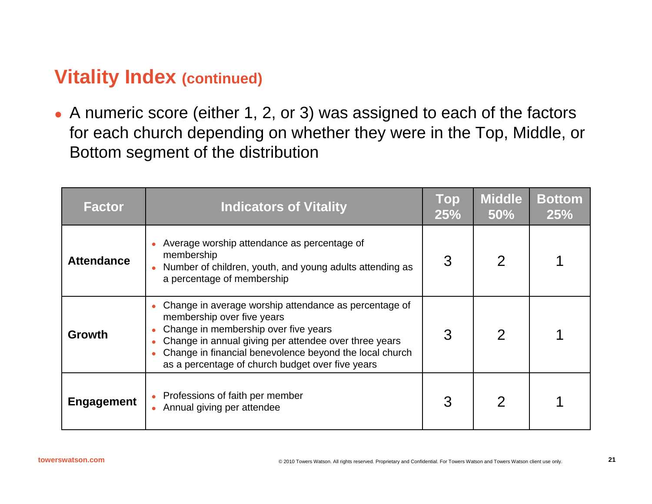## **Vitality Index (continued)**

• A numeric score (either 1, 2, or 3) was assigned to each of the factors for each church depending on whether they were in the Top, Middle, or Bottom segment of the distribution

| <b>Factor</b>     | <b>Indicators of Vitality</b>                                                                                                                                                                                                                                                                       | Top<br>25% | <b>Middle</b><br>50% | <b>Bottom</b><br>25% |
|-------------------|-----------------------------------------------------------------------------------------------------------------------------------------------------------------------------------------------------------------------------------------------------------------------------------------------------|------------|----------------------|----------------------|
| <b>Attendance</b> | Average worship attendance as percentage of<br>membership<br>Number of children, youth, and young adults attending as<br>a percentage of membership                                                                                                                                                 | 3          |                      |                      |
| Growth            | Change in average worship attendance as percentage of<br>membership over five years<br>Change in membership over five years<br>Change in annual giving per attendee over three years<br>Change in financial benevolence beyond the local church<br>as a percentage of church budget over five years | 3          |                      |                      |
| Engagement        | Professions of faith per member<br>Annual giving per attendee                                                                                                                                                                                                                                       | 3          | $\mathcal{P}$        |                      |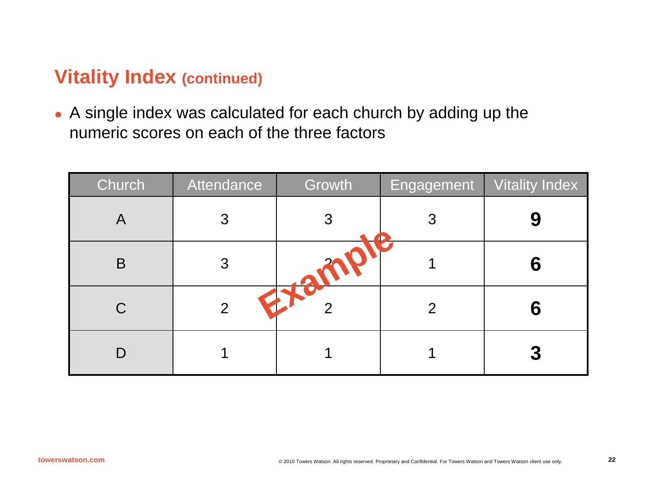## **Vitality Index (continued)**

• A single index was calculated for each church by adding up the numeric scores on each of the three factors

| Church                    | Attendance     | Growth        | Engagement | <b>Vitality Index</b> |
|---------------------------|----------------|---------------|------------|-----------------------|
| $\boldsymbol{\mathsf{A}}$ | 3              | З             | З          |                       |
| B                         | 3              |               |            |                       |
| $\mathsf C$               | $\overline{2}$ | $\rightarrow$ | 2          |                       |
|                           |                |               |            | 3                     |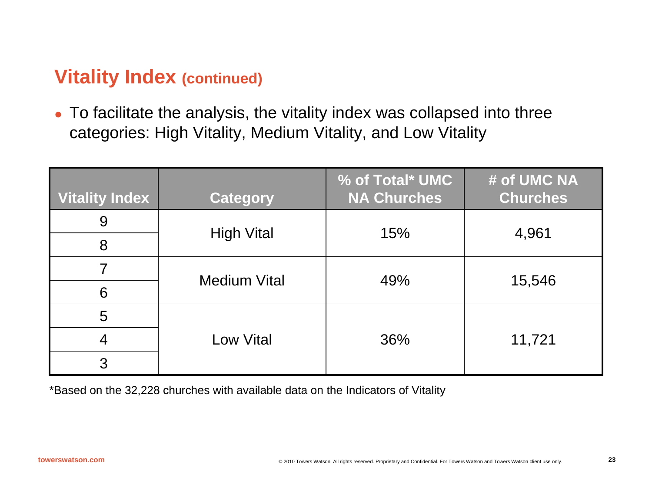## **Vitality Index (continued)**

 $\bullet$  To facilitate the analysis, the vitality index was collapsed into three categories: High Vitality, Medium Vitality, and Low Vitality

| <b>Vitality Index</b> | <b>Category</b>     | % of Total* UMC<br><b>NA Churches</b> | # of UMC NA<br><b>Churches</b> |  |
|-----------------------|---------------------|---------------------------------------|--------------------------------|--|
| 9                     |                     | 15%                                   |                                |  |
| 8                     | <b>High Vital</b>   |                                       | 4,961                          |  |
|                       | <b>Medium Vital</b> | 49%                                   |                                |  |
| 6                     |                     |                                       | 15,546                         |  |
| 5                     |                     |                                       |                                |  |
| 4                     | <b>Low Vital</b>    | 36%                                   | 11,721                         |  |
| 3                     |                     |                                       |                                |  |

\*Based on the 32,228 churches with available data on the Indicators of Vitality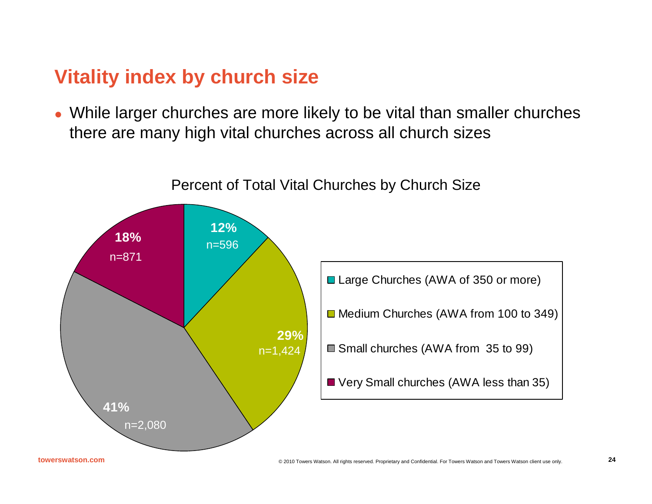## **Vitality index by church size**

• While larger churches are more likely to be vital than smaller churches there are many high vital churches across all church sizes

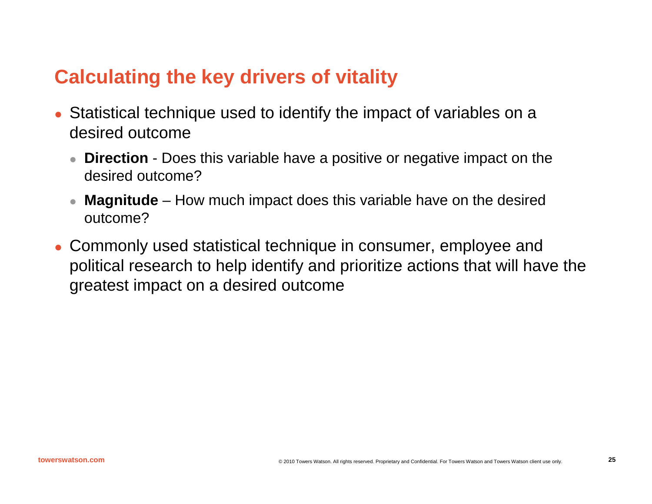## **Calculating the key drivers of vitality**

- O Statistical technique used to identify the impact of variables on a desired outcome
	- **Direction** Does this variable have a positive or negative impact on the desired outcome?
	- $\bullet$  **Magnitude** – How much impact does this variable have on the desired outcome?
- Commonly used statistical technique in consumer, employee and political research to help identify and prioritize actions that will have the greatest impact on a desired outcome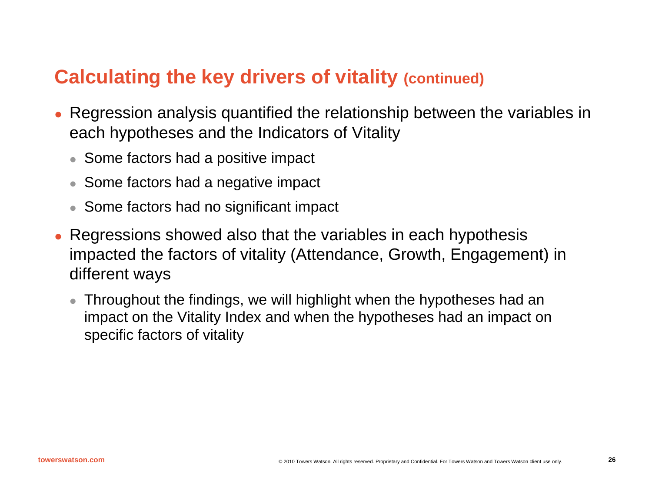## **Calculating the key drivers of vitality (continued)**

- O Regression analysis quantified the relationship between the variables in each hypotheses and the Indicators of Vitality
	- Some factors had a positive impact
	- Some factors had a negative impact
	- Some factors had no significant impact
- z Regressions showed also that the variables in each hypothesis impacted the factors of vitality (Attendance, Growth, Engagement) in different ways
	- $\bullet$  Throughout the findings, we will highlight when the hypotheses had an impact on the Vitality Index and when the hypotheses had an impact on specific factors of vitality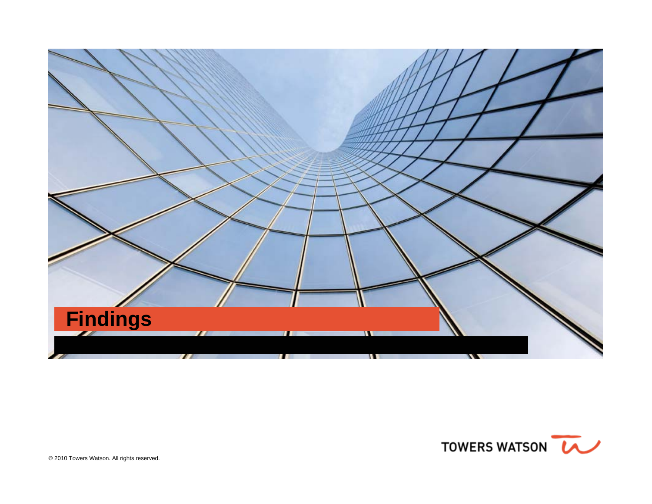

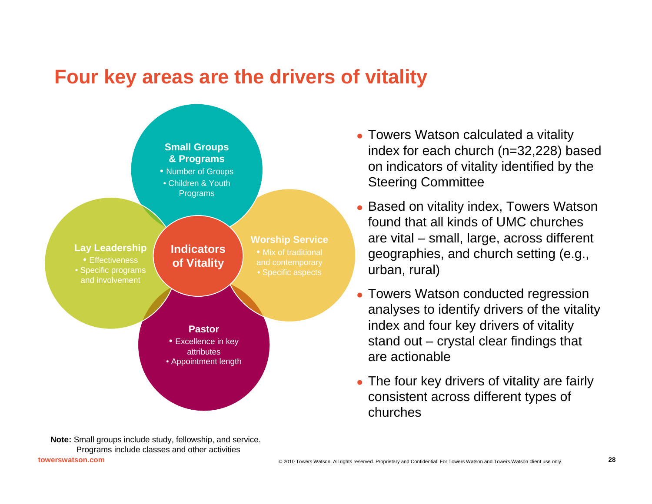## **Four key areas are the drivers of vitality**



- Towers Watson calculated a vitality index for each church (n=32,228) based on indicators of vitality identified by the Steering Committee
- Based on vitality index, Towers Watson found that all kinds of UMC churches are vital – small, large, across different geographies, and church setting (e.g., urban, rural)
- Towers Watson conducted regression analyses to identify drivers of the vitality index and four key drivers of vitality stand out – crystal clear findings that are actionable
- The four key drivers of vitality are fairly consistent across different types of churches

**Note:** Small groups include study, fellowship, and service. Programs include classes and other activities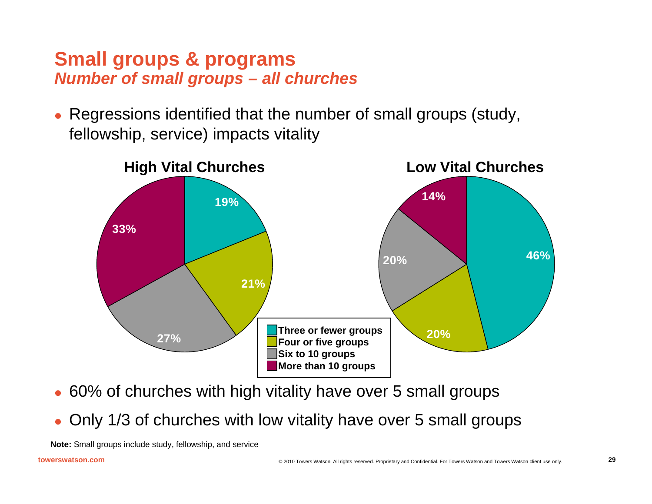## **Small groups & programs**  *Number of small groups – all churches*

O Regressions identified that the number of small groups (study, fellowship, service) impacts vitality



- O 60% of churches with high vitality have over 5 small groups
- O Only 1/3 of churches with low vitality have over 5 small groups

**Note:** Small groups include study, fellowship, and service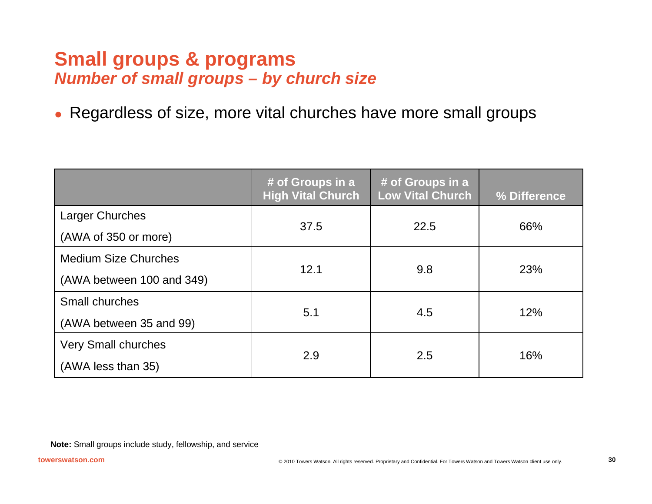### **Small groups & programs**  *Number of small groups – by church size*

 $\bullet$ Regardless of size, more vital churches have more small groups

|                             | # of Groups in a<br><b>High Vital Church</b> | # of Groups in a<br><b>Low Vital Church</b> | % Difference |  |
|-----------------------------|----------------------------------------------|---------------------------------------------|--------------|--|
| <b>Larger Churches</b>      | 37.5                                         | 22.5                                        |              |  |
| (AWA of 350 or more)        |                                              |                                             | 66%          |  |
| <b>Medium Size Churches</b> |                                              |                                             |              |  |
| (AWA between 100 and 349)   | 12.1                                         | 9.8                                         | 23%          |  |
| Small churches              |                                              |                                             |              |  |
| (AWA between 35 and 99)     | 5.1                                          | 4.5                                         | 12%          |  |
| <b>Very Small churches</b>  |                                              |                                             |              |  |
| (AWA less than 35)          | 2.9                                          | 2.5                                         | 16%          |  |

**Note:** Small groups include study, fellowship, and service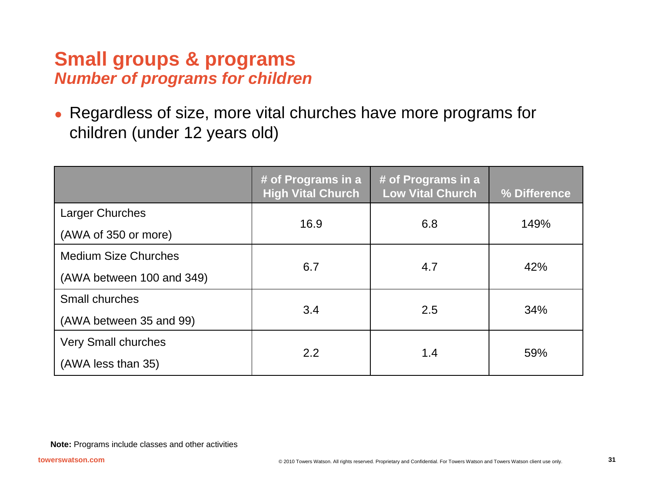### **Small groups & programs**  *Number of programs for children*

 $\bullet$  Regardless of size, more vital churches have more programs for children (under 12 years old)

|                             | # of Programs in a<br><b>High Vital Church</b> | # of Programs in a<br><b>Low Vital Church</b> | % Difference |  |
|-----------------------------|------------------------------------------------|-----------------------------------------------|--------------|--|
| <b>Larger Churches</b>      | 16.9                                           | 6.8                                           | 149%         |  |
| (AWA of 350 or more)        |                                                |                                               |              |  |
| <b>Medium Size Churches</b> |                                                |                                               | 42%          |  |
| (AWA between 100 and 349)   | 6.7                                            | 4.7                                           |              |  |
| Small churches              |                                                |                                               |              |  |
| (AWA between 35 and 99)     | 3.4                                            | 2.5                                           | 34%          |  |
| <b>Very Small churches</b>  |                                                |                                               |              |  |
| (AWA less than 35)          | 2.2                                            | 1.4                                           | 59%          |  |

**Note:** Programs include classes and other activities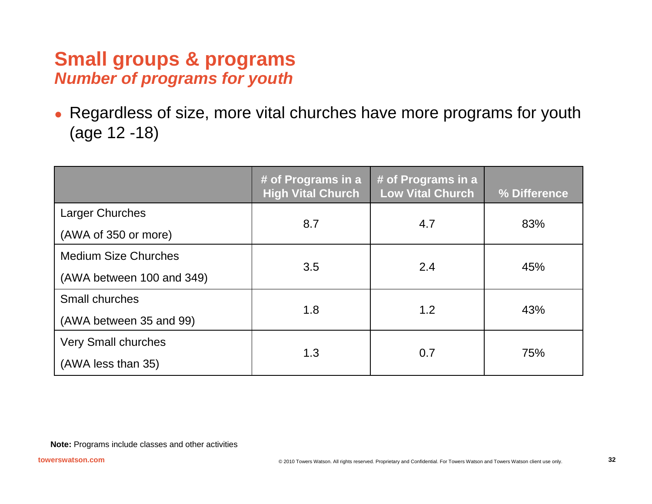## **Small groups & programs**  *Number of programs for youth*

 $\bullet$  Regardless of size, more vital churches have more programs for youth (age 12 -18)

|                             | # of Programs in a<br><b>High Vital Church</b> | # of Programs in a<br><b>Low Vital Church</b> | % Difference |  |
|-----------------------------|------------------------------------------------|-----------------------------------------------|--------------|--|
| <b>Larger Churches</b>      | 8.7                                            | 4.7                                           | 83%          |  |
| (AWA of 350 or more)        |                                                |                                               |              |  |
| <b>Medium Size Churches</b> |                                                |                                               |              |  |
| (AWA between 100 and 349)   | 3.5                                            | 2.4                                           | 45%          |  |
| Small churches              |                                                |                                               |              |  |
| (AWA between 35 and 99)     | 1.8                                            | 1.2                                           | 43%          |  |
| <b>Very Small churches</b>  |                                                |                                               |              |  |
| (AWA less than 35)          | 1.3                                            | 0.7                                           | 75%          |  |

**Note:** Programs include classes and other activities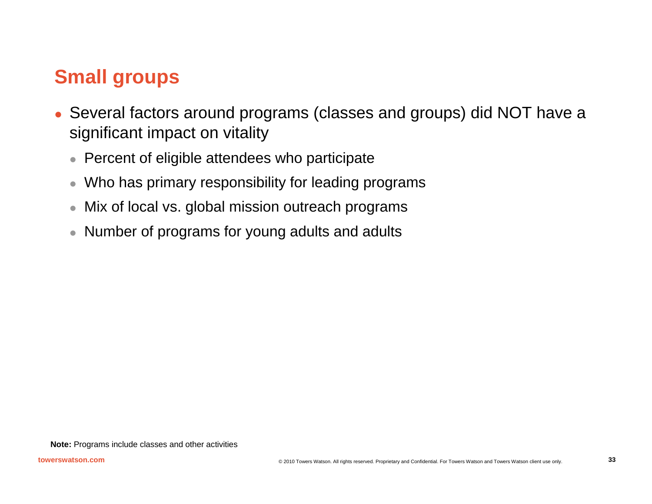# **Small groups**

- Several factors around programs (classes and groups) did NOT have a significant impact on vitality
	- $\bullet$ Percent of eligible attendees who participate
	- $\bullet$ Who has primary responsibility for leading programs
	- $\bullet$ Mix of local vs. global mission outreach programs
	- $\bullet$ Number of programs for young adults and adults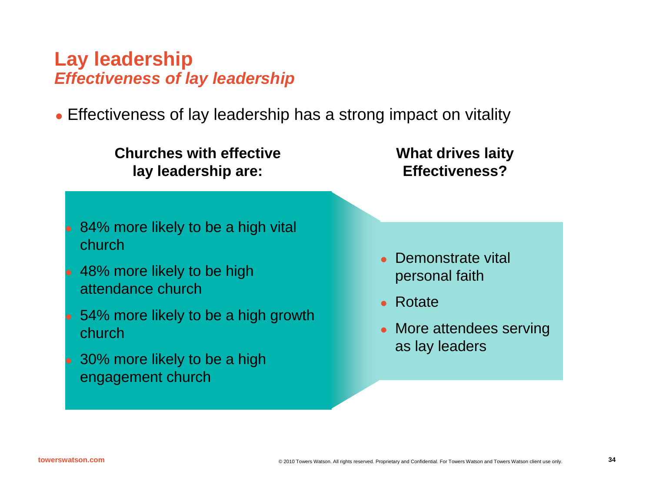## **Lay leadership** *Effectiveness of lay leadership*

• Effectiveness of lay leadership has a strong impact on vitality

**Churches with effectivelay leadership are:**

**What drives laity Effectiveness?**

- 84% more likely to be a high vital church
- 48% more likely to be high attendance church
- 54% more likely to be a high growth church
- 30% more likely to be a high engagement church
- Demonstrate vital personal faith
- Rotate
- More attendees serving as lay leaders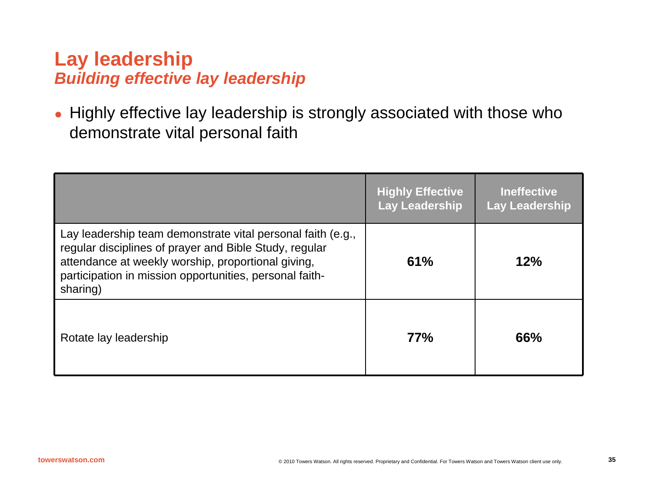## **Lay leadership** *Building effective lay leadership*

 $\bullet$  Highly effective lay leadership is strongly associated with those who demonstrate vital personal faith

|                                                                                                                                                                                                                                                    | <b>Highly Effective</b><br>Lay Leadership | <b>Ineffective</b><br><b>Lay Leadership</b> |
|----------------------------------------------------------------------------------------------------------------------------------------------------------------------------------------------------------------------------------------------------|-------------------------------------------|---------------------------------------------|
| Lay leadership team demonstrate vital personal faith (e.g.,<br>regular disciplines of prayer and Bible Study, regular<br>attendance at weekly worship, proportional giving,<br>participation in mission opportunities, personal faith-<br>sharing) | 61%                                       | 12%                                         |
| Rotate lay leadership                                                                                                                                                                                                                              | 77%                                       | 66%                                         |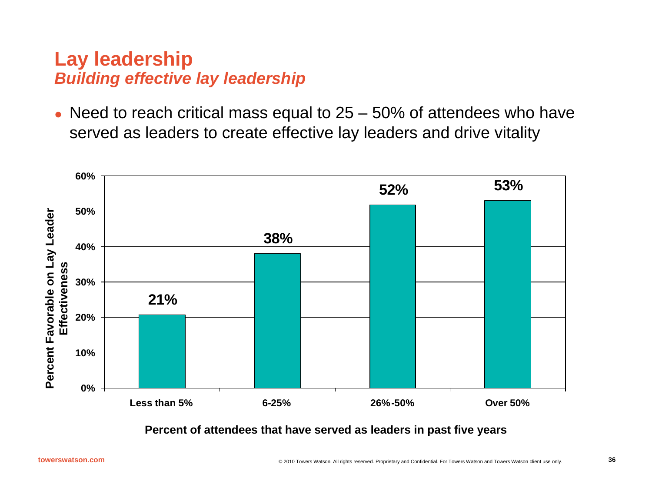## **Lay leadership** *Building effective lay leadership*

O Need to reach critical mass equal to 25 – 50% of attendees who have served as leaders to create effective lay leaders and drive vitality



**Percent of attendees that have served as leaders in past five years**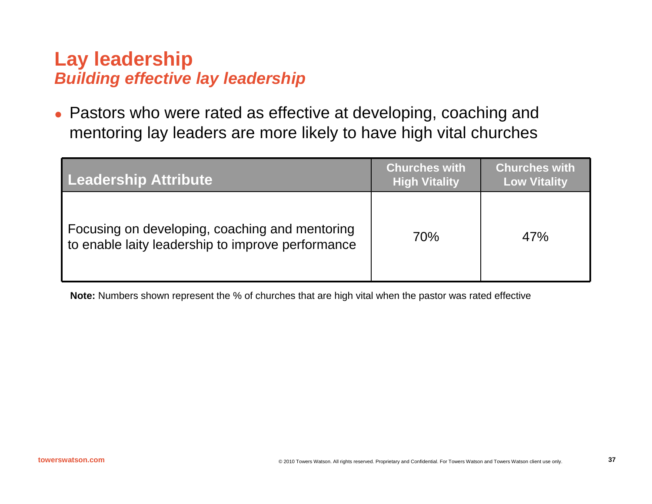## **Lay leadership** *Building effective lay leadership*

O Pastors who were rated as effective at developing, coaching and mentoring lay leaders are more likely to have high vital churches

| Leadership Attribute                                                                                | <b>Churches with</b><br><b>High Vitality</b> | <b>Churches with</b><br><b>Low Vitality</b> |
|-----------------------------------------------------------------------------------------------------|----------------------------------------------|---------------------------------------------|
| Focusing on developing, coaching and mentoring<br>to enable laity leadership to improve performance | 70%                                          | 47%                                         |

**Note:** Numbers shown represent the % of churches that are high vital when the pastor was rated effective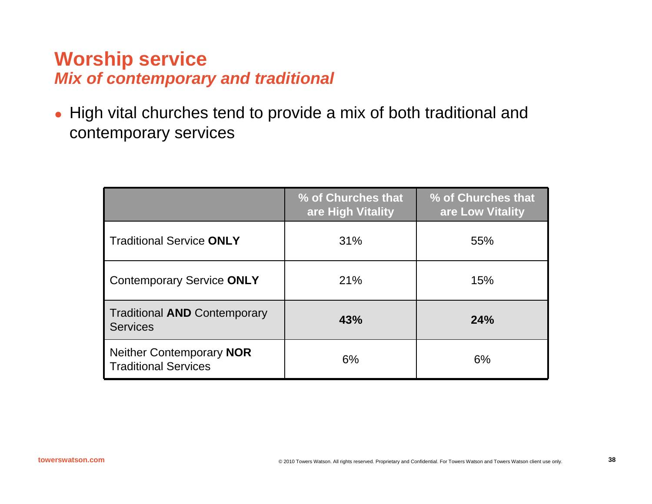## **Worship service** *Mix of contemporary and traditional*

 $\bullet$  High vital churches tend to provide a mix of both traditional and contemporary services

|                                                         | % of Churches that<br>are High Vitality | % of Churches that<br>are Low Vitality |
|---------------------------------------------------------|-----------------------------------------|----------------------------------------|
| <b>Traditional Service ONLY</b>                         | 31%                                     | 55%                                    |
| <b>Contemporary Service ONLY</b>                        | 21%                                     | 15%                                    |
| <b>Traditional AND Contemporary</b><br><b>Services</b>  | 43%                                     | 24%                                    |
| Neither Contemporary NOR<br><b>Traditional Services</b> | 6%                                      | 6%                                     |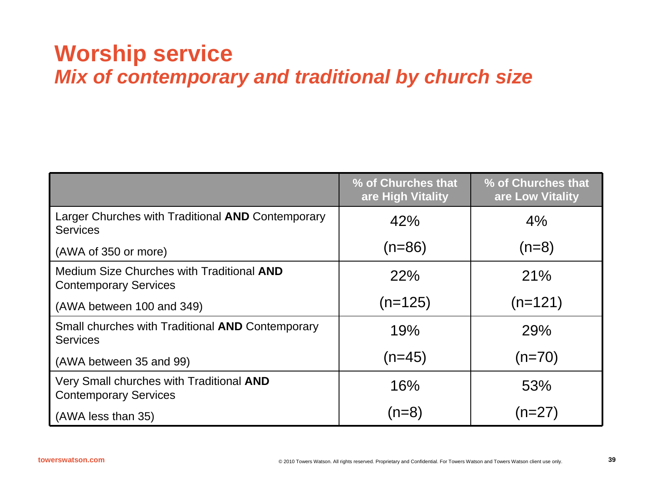# **Worship service** *Mix of contemporary and traditional by church size*

|                                                                           | % of Churches that<br>are High Vitality | % of Churches that<br>are Low Vitality |
|---------------------------------------------------------------------------|-----------------------------------------|----------------------------------------|
| Larger Churches with Traditional AND Contemporary<br><b>Services</b>      | 42%                                     | 4%                                     |
| (AWA of 350 or more)                                                      | (n=86)                                  | $(n=8)$                                |
| Medium Size Churches with Traditional AND<br><b>Contemporary Services</b> | 22%                                     | 21%                                    |
| (AWA between 100 and 349)                                                 | $(n=125)$                               | $(n=121)$                              |
| Small churches with Traditional AND Contemporary<br><b>Services</b>       | 19%                                     | 29%                                    |
| (AWA between 35 and 99)                                                   | $(n=45)$                                | $(n=70)$                               |
| Very Small churches with Traditional AND<br><b>Contemporary Services</b>  | 16%                                     | 53%                                    |
| (AWA less than 35)                                                        | $(n=8)$                                 | (n=27)                                 |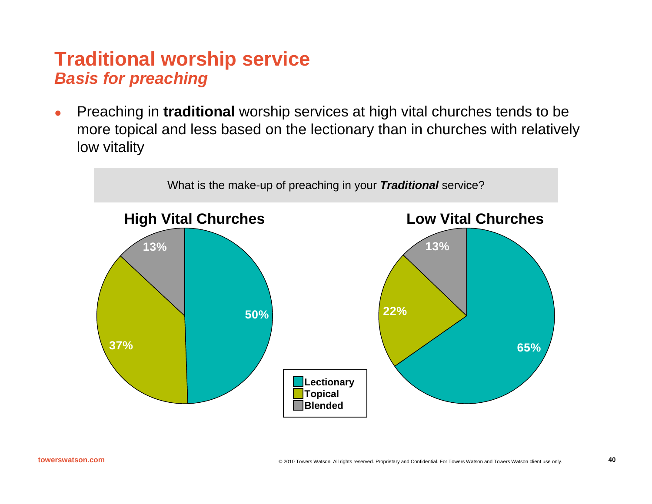## **Traditional worship service** *Basis for preaching*

 $\bullet$  Preaching in **traditional** worship services at high vital churches tends to be more topical and less based on the lectionary than in churches with relatively low vitality

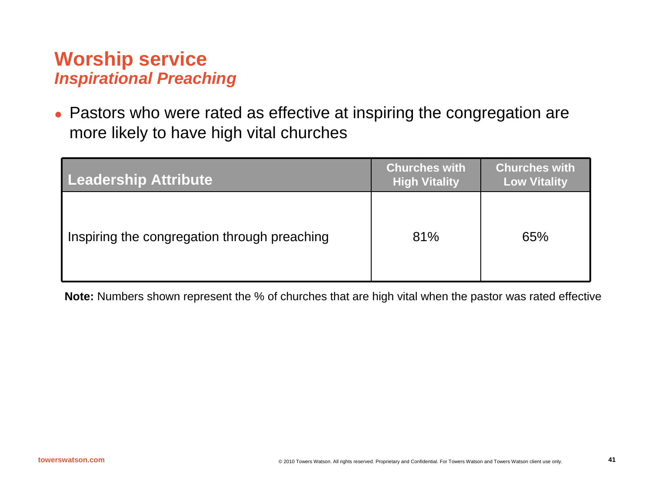## **Worship service** *Inspirational Preaching*

O Pastors who were rated as effective at inspiring the congregation are more likely to have high vital churches

| <b>Leadership Attribute</b>                  | <b>Churches with</b><br><b>High Vitality</b> | <b>Churches with</b><br><b>Low Vitality</b> |  |
|----------------------------------------------|----------------------------------------------|---------------------------------------------|--|
| Inspiring the congregation through preaching | 81%                                          | 65%                                         |  |

**Note:** Numbers shown represent the % of churches that are high vital when the pastor was rated effective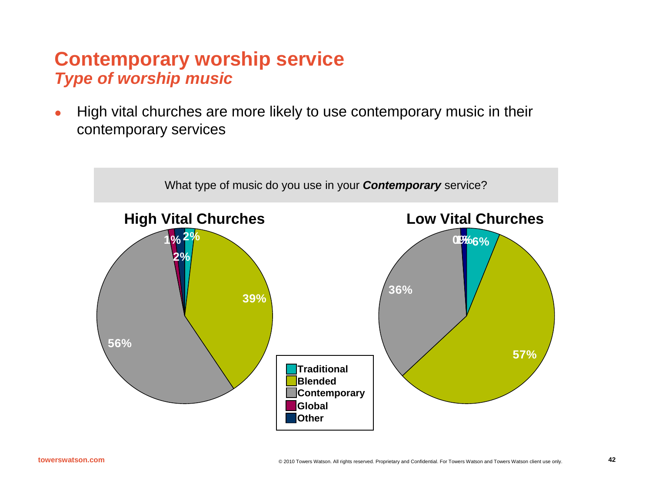### **Contemporary worship service** *Type of worship music*

o High vital churches are more likely to use contemporary music in their contemporary services

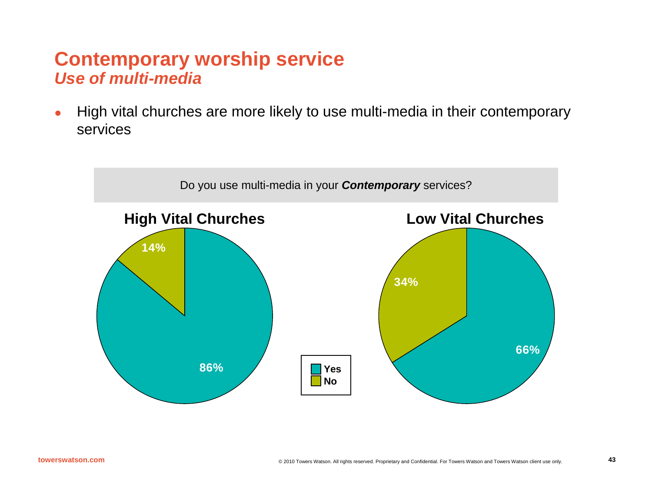#### **Contemporary worship service** *Use of multi-media*

 $\bullet$  High vital churches are more likely to use multi-media in their contemporary services

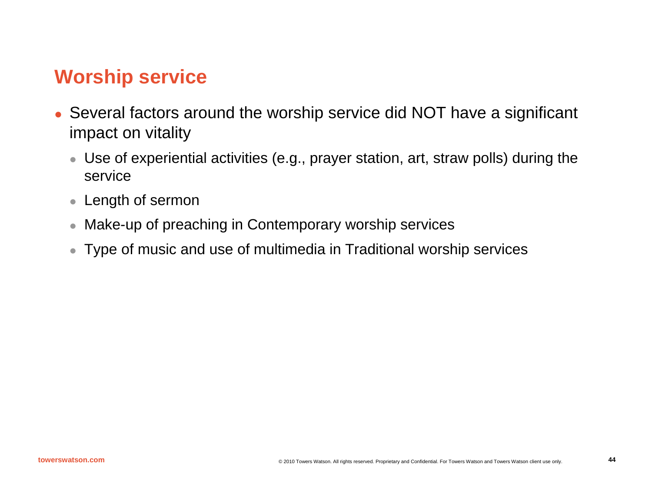## **Worship service**

- Several factors around the worship service did NOT have a significant impact on vitality
	- $\bullet\,$  Use of experiential activities (e.g., prayer station, art, straw polls) during the service
	- Length of sermon
	- $\bullet$ Make-up of preaching in Contemporary worship services
	- $\bullet$ Type of music and use of multimedia in Traditional worship services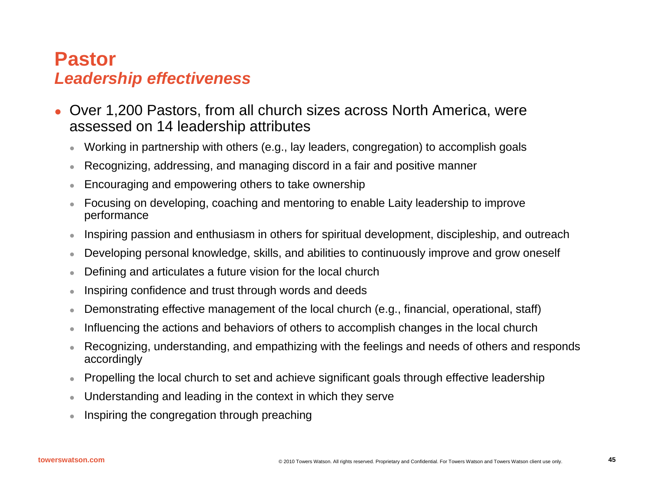#### **Pastor***Leadership effectiveness*

- O Over 1,200 Pastors, from all church sizes across North America, were assessed on 14 leadership attributes
	- $\bullet$ Working in partnership with others (e.g., lay leaders, congregation) to accomplish goals
	- $\bullet$ Recognizing, addressing, and managing discord in a fair and positive manner
	- $\bullet$ Encouraging and empowering others to take ownership
	- $\bullet$  Focusing on developing, coaching and mentoring to enable Laity leadership to improve performance
	- $\bullet$ Inspiring passion and enthusiasm in others for spiritual development, discipleship, and outreach
	- $\bullet$ Developing personal knowledge, skills, and abilities to continuously improve and grow oneself
	- $\bullet$ Defining and articulates a future vision for the local church
	- $\bullet$ Inspiring confidence and trust through words and deeds
	- $\bullet$ Demonstrating effective management of the local church (e.g., financial, operational, staff)
	- $\bullet$ Influencing the actions and behaviors of others to accomplish changes in the local church
	- $\bullet$  Recognizing, understanding, and empathizing with the feelings and needs of others and responds accordingly
	- $\bullet$ Propelling the local church to set and achieve significant goals through effective leadership
	- zUnderstanding and leading in the context in which they serve
	- $\bullet$ Inspiring the congregation through preaching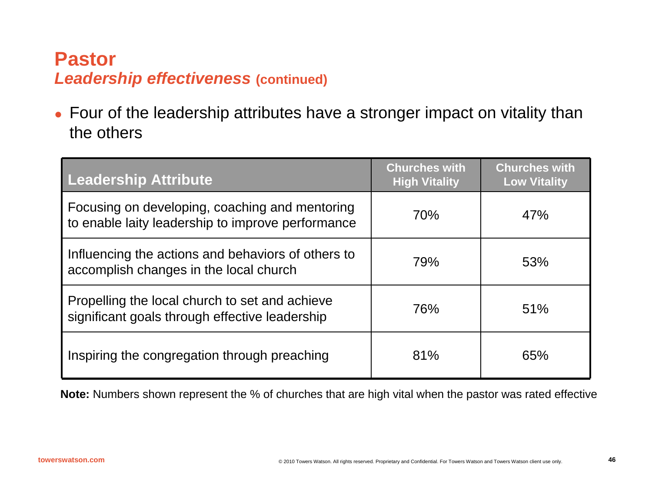## **Pastor***Leadership effectiveness* **(continued)**

• Four of the leadership attributes have a stronger impact on vitality than the others

| <b>Leadership Attribute</b>                                                                         | <b>Churches with</b><br><b>High Vitality</b> | <b>Churches with</b><br><b>Low Vitality</b> |
|-----------------------------------------------------------------------------------------------------|----------------------------------------------|---------------------------------------------|
| Focusing on developing, coaching and mentoring<br>to enable laity leadership to improve performance | 70%                                          | 47%                                         |
| Influencing the actions and behaviors of others to<br>accomplish changes in the local church        | 79%                                          | 53%                                         |
| Propelling the local church to set and achieve<br>significant goals through effective leadership    | 76%                                          | 51%                                         |
| Inspiring the congregation through preaching                                                        | 81%                                          | 65%                                         |

**Note:** Numbers shown represent the % of churches that are high vital when the pastor was rated effective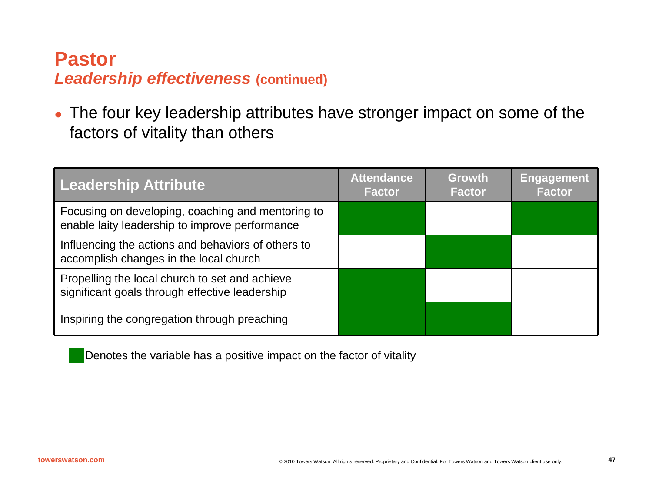## **Pastor***Leadership effectiveness* **(continued)**

 $\bullet$  The four key leadership attributes have stronger impact on some of the factors of vitality than others

| <b>Leadership Attribute</b>                                                                         | <b>Attendance</b><br><b>Factor</b> | <b>Growth</b><br><b>Factor</b> | <b>Engagement</b><br><b>Factor</b> |
|-----------------------------------------------------------------------------------------------------|------------------------------------|--------------------------------|------------------------------------|
| Focusing on developing, coaching and mentoring to<br>enable laity leadership to improve performance |                                    |                                |                                    |
| Influencing the actions and behaviors of others to<br>accomplish changes in the local church        |                                    |                                |                                    |
| Propelling the local church to set and achieve<br>significant goals through effective leadership    |                                    |                                |                                    |
| Inspiring the congregation through preaching                                                        |                                    |                                |                                    |

Denotes the variable has a positive impact on the factor of vitality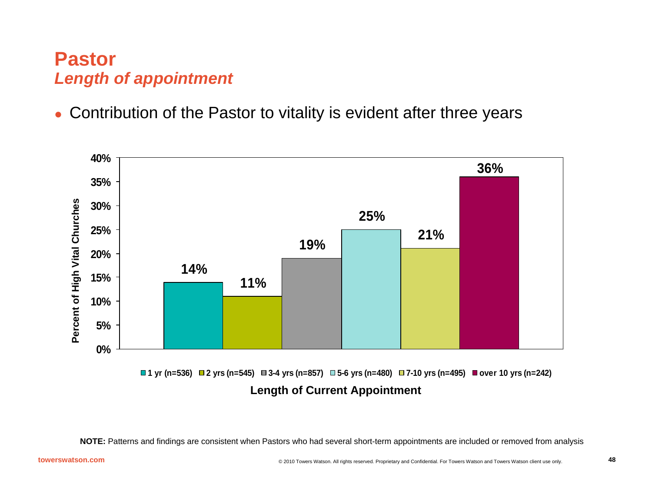## **Pastor***Length of appointment*

O Contribution of the Pastor to vitality is evident after three years



**NOTE:** Patterns and findings are consistent when Pastors who had several short-term appointments are included or removed from analysis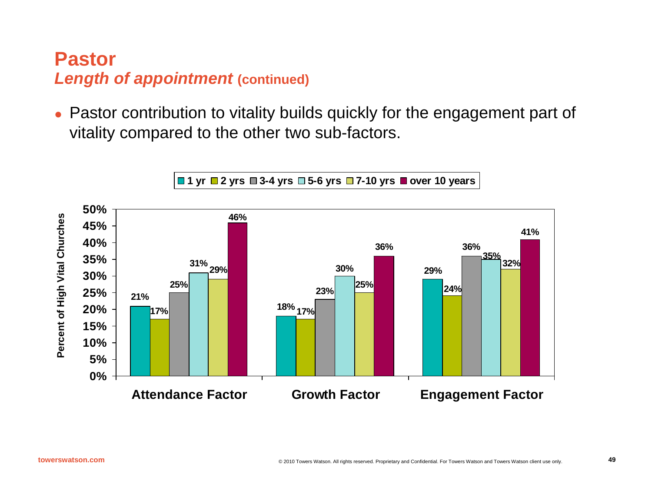## **PastorLength of appointment (continued)**

O Pastor contribution to vitality builds quickly for the engagement part of vitality compared to the other two sub-factors.



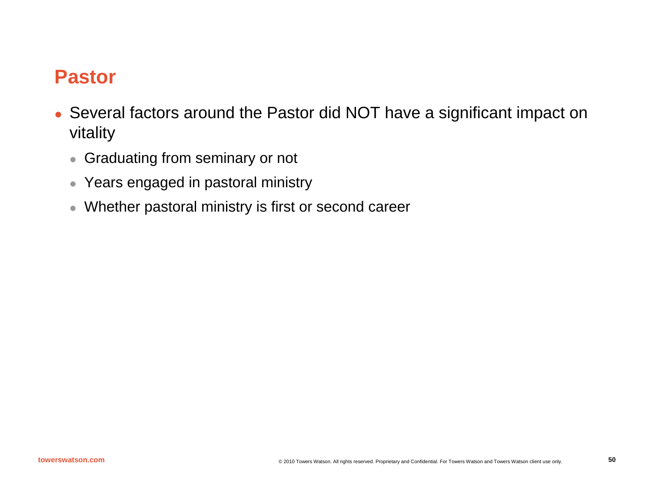## **Pastor**

- Several factors around the Pastor did NOT have a significant impact on vitality
	- $\bullet$ Graduating from seminary or not
	- $\bullet\,$  Years engaged in pastoral ministry
	- $\bullet$ Whether pastoral ministry is first or second career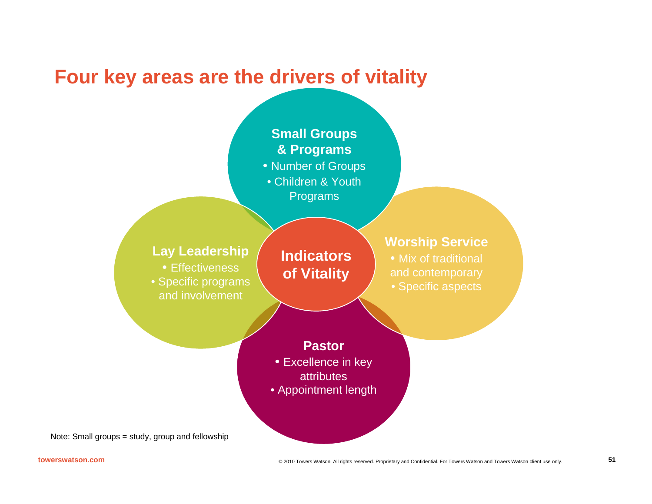## **Four key areas are the drivers of vitality**

#### **Pastor**• Excellence in key **attributes** • Appointment length **Worship Service** • Mix of traditional and contemporary • Specific aspects **Small Groups & Programs** • Number of Groups • Children & YouthPrograms **Lay Leadership** • Effectiveness • Specific programs and involvement**Indicators of Vitality**

Note: Small groups = study, group and fellowship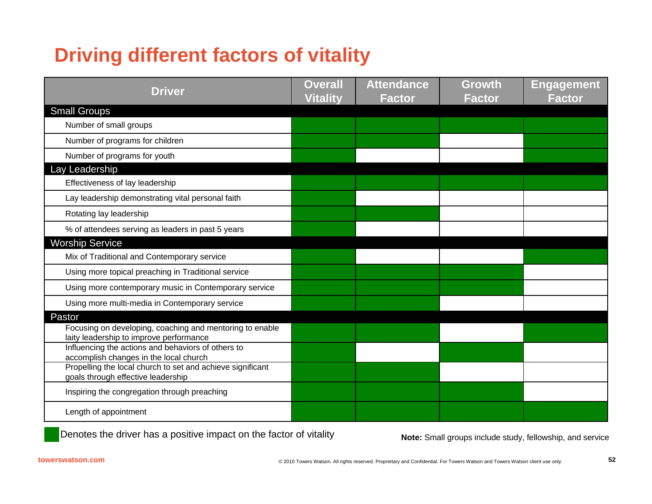# **Driving different factors of vitality**

| <b>Driver</b>                                                                                                 | <b>Overall</b><br><b>Vitality</b> | <b>Attendance</b><br>Factor | <b>Growth</b><br><b>Factor</b> | <b>Engagement</b><br><b>Factor</b> |
|---------------------------------------------------------------------------------------------------------------|-----------------------------------|-----------------------------|--------------------------------|------------------------------------|
| <b>Small Groups</b>                                                                                           |                                   |                             |                                |                                    |
| Number of small groups                                                                                        |                                   |                             |                                |                                    |
| Number of programs for children                                                                               |                                   |                             |                                |                                    |
| Number of programs for youth                                                                                  |                                   |                             |                                |                                    |
| Lay Leadership                                                                                                |                                   |                             |                                |                                    |
| Effectiveness of lay leadership                                                                               |                                   |                             |                                |                                    |
| Lay leadership demonstrating vital personal faith                                                             |                                   |                             |                                |                                    |
| Rotating lay leadership                                                                                       |                                   |                             |                                |                                    |
| % of attendees serving as leaders in past 5 years                                                             |                                   |                             |                                |                                    |
| <b>Worship Service</b>                                                                                        |                                   |                             |                                |                                    |
| Mix of Traditional and Contemporary service                                                                   |                                   |                             |                                |                                    |
| Using more topical preaching in Traditional service                                                           |                                   |                             |                                |                                    |
| Using more contemporary music in Contemporary service                                                         |                                   |                             |                                |                                    |
| Using more multi-media in Contemporary service                                                                |                                   |                             |                                |                                    |
| Pastor<br>Focusing on developing, coaching and mentoring to enable<br>laity leadership to improve performance |                                   |                             |                                |                                    |
| Influencing the actions and behaviors of others to<br>accomplish changes in the local church                  |                                   |                             |                                |                                    |
| Propelling the local church to set and achieve significant<br>goals through effective leadership              |                                   |                             |                                |                                    |
| Inspiring the congregation through preaching                                                                  |                                   |                             |                                |                                    |
| Length of appointment                                                                                         |                                   |                             |                                |                                    |

Denotes the driver has a positive impact on the factor of vitality

Note: Small groups include study, fellowship, and service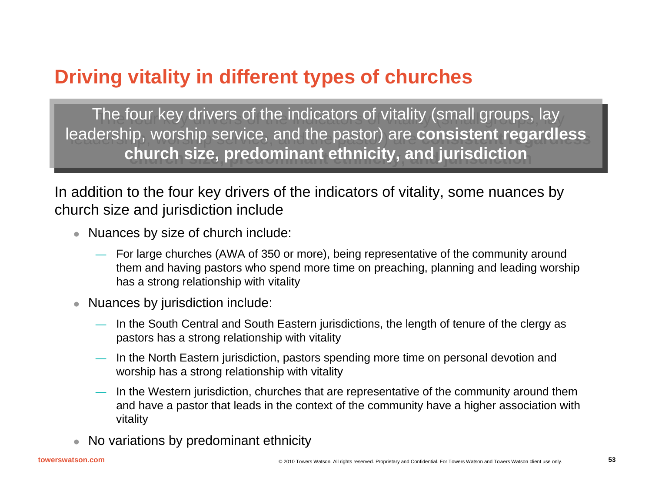## **Driving vitality in different types of churches**

The four key drivers of the indicators of vitality (small groups, lay The four key drivers of the indicators of vitality (small groups, lay leadership, worship service, and the pastor) are **consistent regardless**  leadership, worship service, and the pastor) are **consistent regardless church size, predominant ethnicity, and jurisdiction church size, predominant ethnicity, and jurisdiction**

In addition to the four key drivers of the indicators of vitality, some nuances by church size and jurisdiction include

- Nuances by size of church include:
	- For large churches (AWA of 350 or more), being representative of the community around them and having pastors who spend more time on preaching, planning and leading worship has a strong relationship with vitality
- $\bullet$  Nuances by jurisdiction include:
	- In the South Central and South Eastern jurisdictions, the length of tenure of the clergy as pastors has a strong relationship with vitality
	- — In the North Eastern jurisdiction, pastors spending more time on personal devotion and worship has a strong relationship with vitality
	- — In the Western jurisdiction, churches that are representative of the community around them and have a pastor that leads in the context of the community have a higher association with vitality
	- No variations by predominant ethnicity

 $\bullet$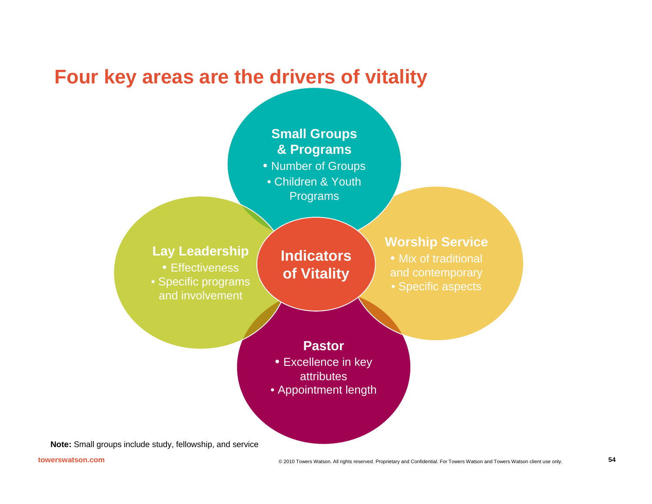## **Four key areas are the drivers of vitality**

#### **Small Groups & Programs**

- Number of Groups
- Children & YouthPrograms

#### **Lay Leadership**

• Effectiveness • Specific programs and involvement

#### **Indicators of Vitality**

#### **Worship Service**

• Mix of traditional and contemporary • Specific aspects

#### **Pastor**

- Excellence in key **attributes**
- Appointment length

**Note:** Small groups include study, fellowship, and service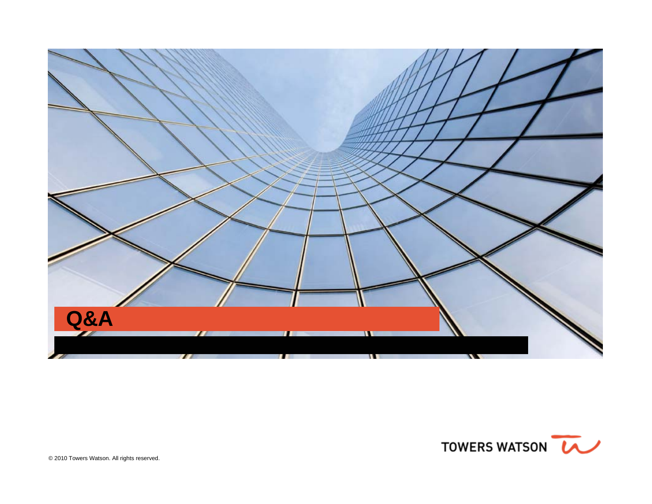![](_page_54_Picture_0.jpeg)

![](_page_54_Picture_1.jpeg)